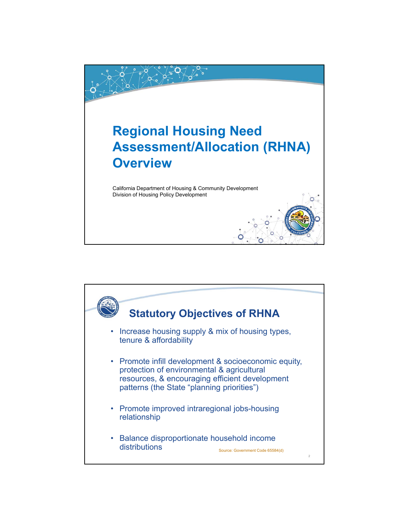

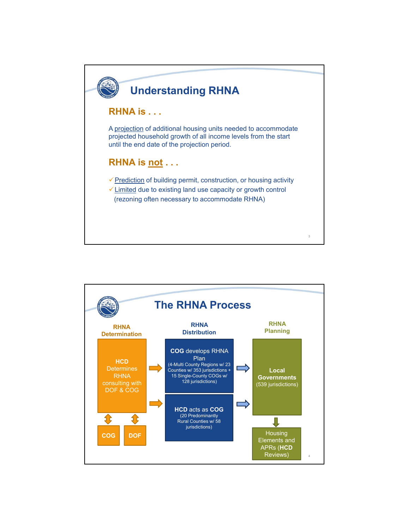